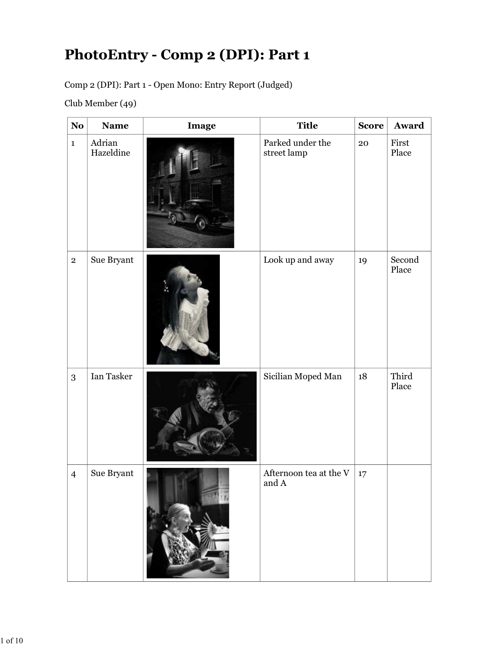## PhotoEntry - Comp 2 (DPI): Part 1

|                | Club Member (49)    |       |                                                 |              |                 |
|----------------|---------------------|-------|-------------------------------------------------|--------------|-----------------|
| <b>No</b>      | <b>Name</b>         | Image | <b>Title</b>                                    | <b>Score</b> | Award           |
| $\mathbf{1}$   | Adrian<br>Hazeldine |       | Parked under the<br>street lamp                 | 20           | First<br>Place  |
| $\mathbf{2}$   | Sue Bryant          |       | Look up and away                                | 19           | Second<br>Place |
| $\overline{3}$ | Ian Tasker          |       | Sicilian Moped Man                              | 18           | Third<br>Place  |
| $\overline{4}$ | Sue Bryant          |       | Afternoon tea at the ${\rm V}$<br>and ${\bf A}$ | 17           |                 |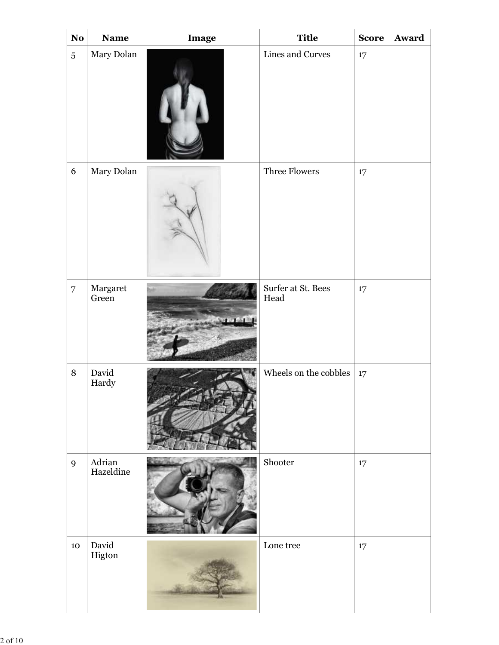| $\bf No$       | <b>Name</b>         | Image            | <b>Title</b>               | Score  | Award |
|----------------|---------------------|------------------|----------------------------|--------|-------|
| $\overline{5}$ | Mary Dolan          |                  | Lines and Curves           | $17\,$ |       |
| $\overline{6}$ | Mary Dolan          |                  | Three Flowers              | $17\,$ |       |
| $ 7\rangle$    | Margaret<br>Green   | <b>UP UT HAN</b> | Surfer at St. Bees<br>Head | $17\,$ |       |
| $\,8\,$        | David<br>Hardy      |                  | Wheels on the cobbles      | 17     |       |
| $\overline{9}$ | Adrian<br>Hazeldine |                  | Shooter                    | $17\,$ |       |
| $10\,$         | David<br>Higton     |                  | $\operatorname{Lone}$ tree | $17\,$ |       |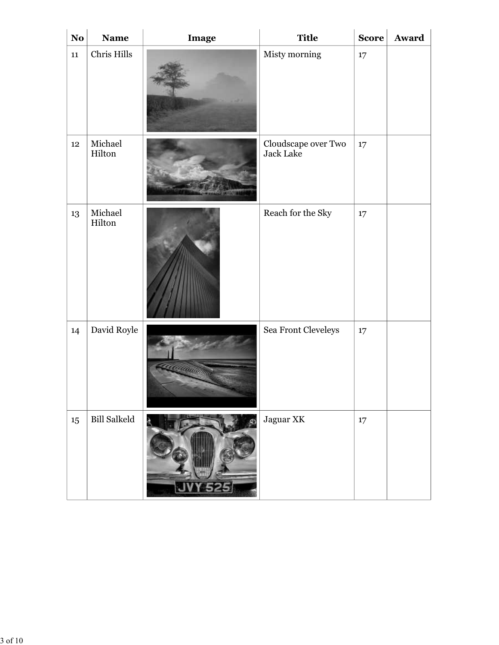| $\bf No$<br>11   | <b>Name</b><br>Chris Hills | Image                | <b>Title</b><br>Misty morning    | $\vert$ Score $\vert$<br>17 | Award |
|------------------|----------------------------|----------------------|----------------------------------|-----------------------------|-------|
| $12\phantom{.0}$ | Michael<br>Hilton          | <b>BALLARY STATE</b> | Cloudscape over Two<br>Jack Lake | 17                          |       |
| 13               | $\rm Michael$<br>Hilton    |                      | Reach for the Sky                | 17                          |       |
| 14               | David Royle                | <u>a a a adamn</u>   | Sea Front Cleveleys              | 17                          |       |
| 15               | <b>Bill Salkeld</b>        | <b>JVY 525</b>       | Jaguar XK                        | 17                          |       |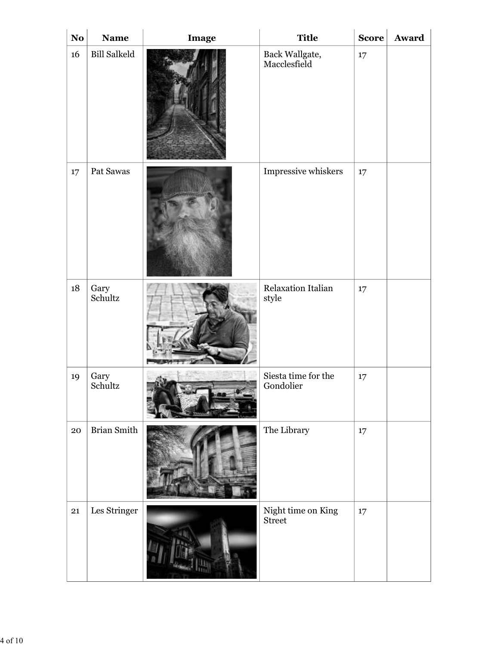| $\bf No$   | <b>Name</b>         | Image | <b>Title</b>                     | <b>Score</b> | Award |
|------------|---------------------|-------|----------------------------------|--------------|-------|
| 16         | <b>Bill Salkeld</b> |       | Back Wallgate,<br>Macclesfield   | 17           |       |
| $17\,$     | Pat Sawas           |       | Impressive whiskers              | $17\,$       |       |
| $18\,$     | Gary<br>Schultz     |       | Relaxation Italian<br>style      | $17\,$       |       |
| 19         | Gary<br>Schultz     |       | Siesta time for the<br>Gondolier | $17\,$       |       |
| ${\bf 20}$ | <b>Brian Smith</b>  |       | The Library                      | $17\,$       |       |
| 21         | Les Stringer        |       | Night time on King<br>Street     | 17           |       |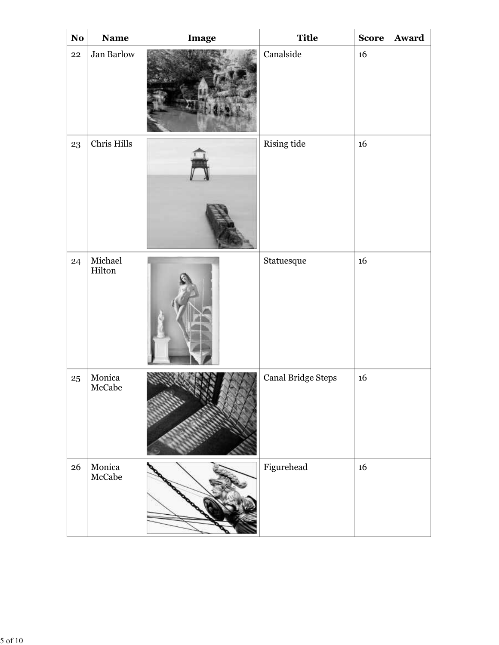| $\bf No$   | Name              | Image | <b>Title</b>                                     |                  | Score Award |
|------------|-------------------|-------|--------------------------------------------------|------------------|-------------|
| ${\bf 22}$ | Jan Barlow        |       | Canalside                                        | 16               |             |
| 23         | Chris Hills       |       | Rising tide                                      | 16               |             |
| 24         | Michael<br>Hilton |       | $\begin{array}{ll} \text{Status} \\ \end{array}$ | $16\,$           |             |
| $25\,$     | Monica<br>McCabe  |       | Canal Bridge Steps                               | $16\phantom{.0}$ |             |
| 26         | Monica<br>McCabe  |       | Figurehead                                       | $16\,$           |             |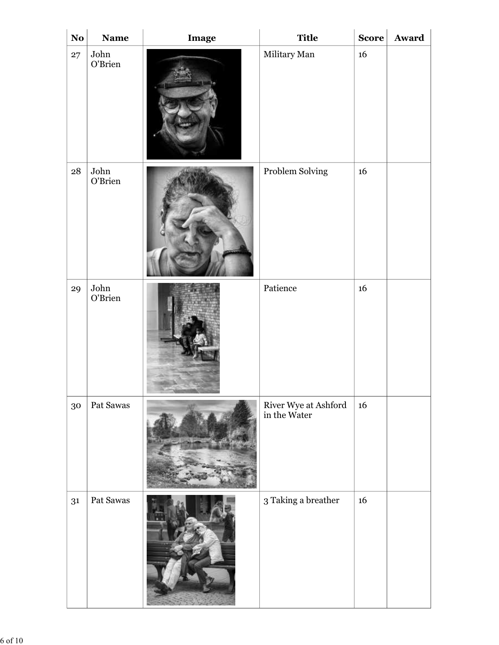| $\bf No$<br>27 | <b>Name</b><br>John<br>O'Brien | Image | <b>Title</b><br>Military Man         | $\vert$ Score $\vert$<br>16 | Award |
|----------------|--------------------------------|-------|--------------------------------------|-----------------------------|-------|
| 28             | John<br>O'Brien                |       | Problem Solving                      | $16\,$                      |       |
| 29             | John<br>O'Brien                |       | $\mbox{Patience}$                    | $16\,$                      |       |
| 30             | Pat Sawas                      |       | River Wye at Ashford<br>in the Water | $16\,$                      |       |
| 31             | Pat Sawas                      |       | $3$ Taking a breather $\,$           | $16\,$                      |       |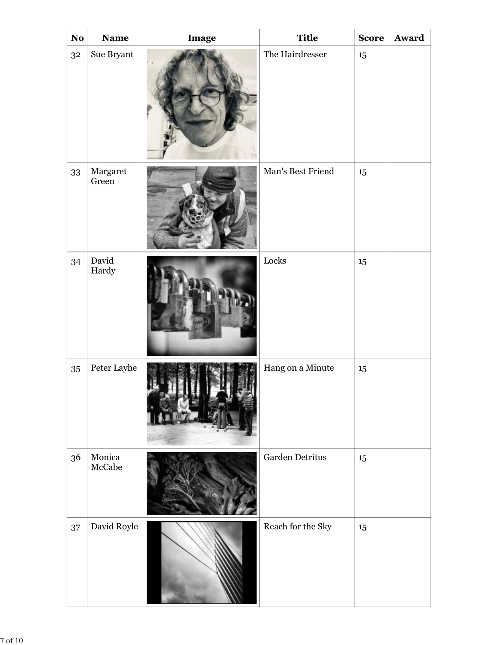| $\mathbf{N}\mathbf{o}$ | Name                              | Image | <b>Title</b>           | <b>Score</b> | Award |
|------------------------|-----------------------------------|-------|------------------------|--------------|-------|
| 3 <sup>2</sup>         | Sue Bryant $\,$                   |       | The Hairdresser        | 15           |       |
| 33                     | Margaret<br>Green                 |       | Man's Best Friend      | 15           |       |
| 34                     | David<br>Hardy                    |       | $\operatorname{Locks}$ | 15           |       |
| $35\,$                 | Peter Layhe                       |       | Hang on a Minute       | $15\,$       |       |
| 36                     | Monica<br>$\operatorname{McCabe}$ |       | Garden Detritus        | 15           |       |
| 37                     | David Royle                       |       | Reach for the Sky      | 15           |       |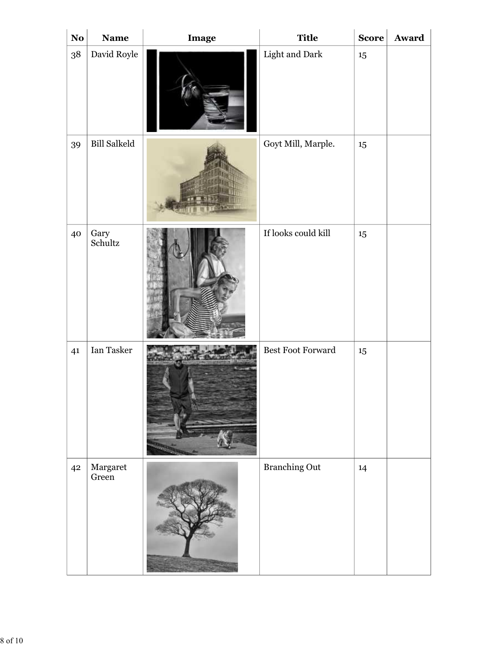| $\bf No$ | <b>Name</b>         | Image | <b>Title</b>         | $\vert$ Score $\vert$ | Award |
|----------|---------------------|-------|----------------------|-----------------------|-------|
| 38       | David Royle         |       | Light and Dark       | $15\,$                |       |
| 39       | <b>Bill Salkeld</b> |       | Goyt Mill, Marple.   | 15                    |       |
| 40       | Gary<br>Schultz     |       | If looks could kill  | 15                    |       |
| 41       | Ian Tasker          |       | Best Foot Forward    | $15\,$                |       |
| 42       | Margaret<br>Green   |       | <b>Branching Out</b> | 14                    |       |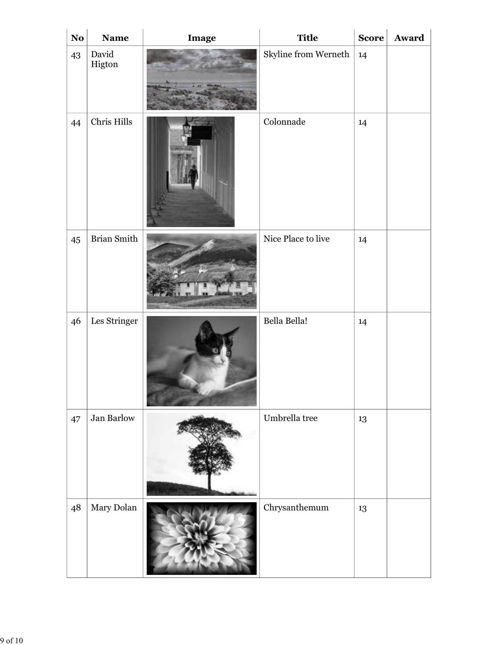| $\bf No$ | Name               | Image   | <b>Title</b>                    | Score | Award |
|----------|--------------------|---------|---------------------------------|-------|-------|
| 43       | David<br>Higton    |         | Skyline from Werneth $\vert$ 14 |       |       |
| 44       | Chris Hills        |         | Colonnade                       | 14    |       |
| $45\,$   | <b>Brian Smith</b> |         | Nice Place to live              | 14    |       |
| 46       | Les Stringer       |         | Bella Bella!                    | 14    |       |
| 47       | Jan Barlow         |         | Umbrella tree                   | 13    |       |
| 48       | Mary Dolan         | ALLANDR | ${\it Chry}s and {\it hemum}$   | 13    |       |